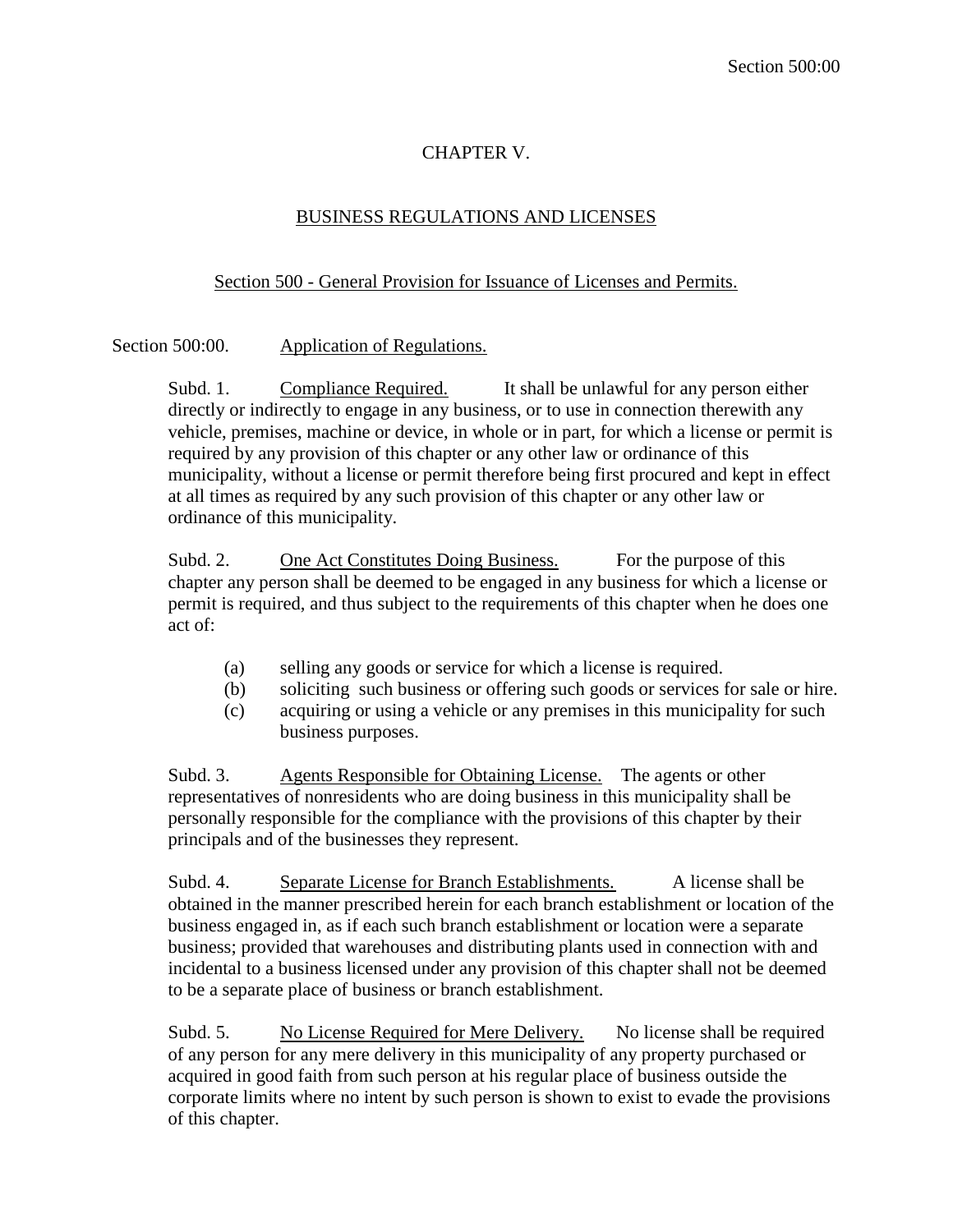## CHAPTER V.

## BUSINESS REGULATIONS AND LICENSES

## Section 500 - General Provision for Issuance of Licenses and Permits.

Section 500:00. Application of Regulations.

Subd. 1. Compliance Required. It shall be unlawful for any person either directly or indirectly to engage in any business, or to use in connection therewith any vehicle, premises, machine or device, in whole or in part, for which a license or permit is required by any provision of this chapter or any other law or ordinance of this municipality, without a license or permit therefore being first procured and kept in effect at all times as required by any such provision of this chapter or any other law or ordinance of this municipality.

Subd. 2. One Act Constitutes Doing Business. For the purpose of this chapter any person shall be deemed to be engaged in any business for which a license or permit is required, and thus subject to the requirements of this chapter when he does one act of:

- (a) selling any goods or service for which a license is required.
- (b) soliciting such business or offering such goods or services for sale or hire.
- (c) acquiring or using a vehicle or any premises in this municipality for such business purposes.

Subd. 3. Agents Responsible for Obtaining License. The agents or other representatives of nonresidents who are doing business in this municipality shall be personally responsible for the compliance with the provisions of this chapter by their principals and of the businesses they represent.

Subd. 4. Separate License for Branch Establishments. A license shall be obtained in the manner prescribed herein for each branch establishment or location of the business engaged in, as if each such branch establishment or location were a separate business; provided that warehouses and distributing plants used in connection with and incidental to a business licensed under any provision of this chapter shall not be deemed to be a separate place of business or branch establishment.

Subd. 5. No License Required for Mere Delivery. No license shall be required of any person for any mere delivery in this municipality of any property purchased or acquired in good faith from such person at his regular place of business outside the corporate limits where no intent by such person is shown to exist to evade the provisions of this chapter.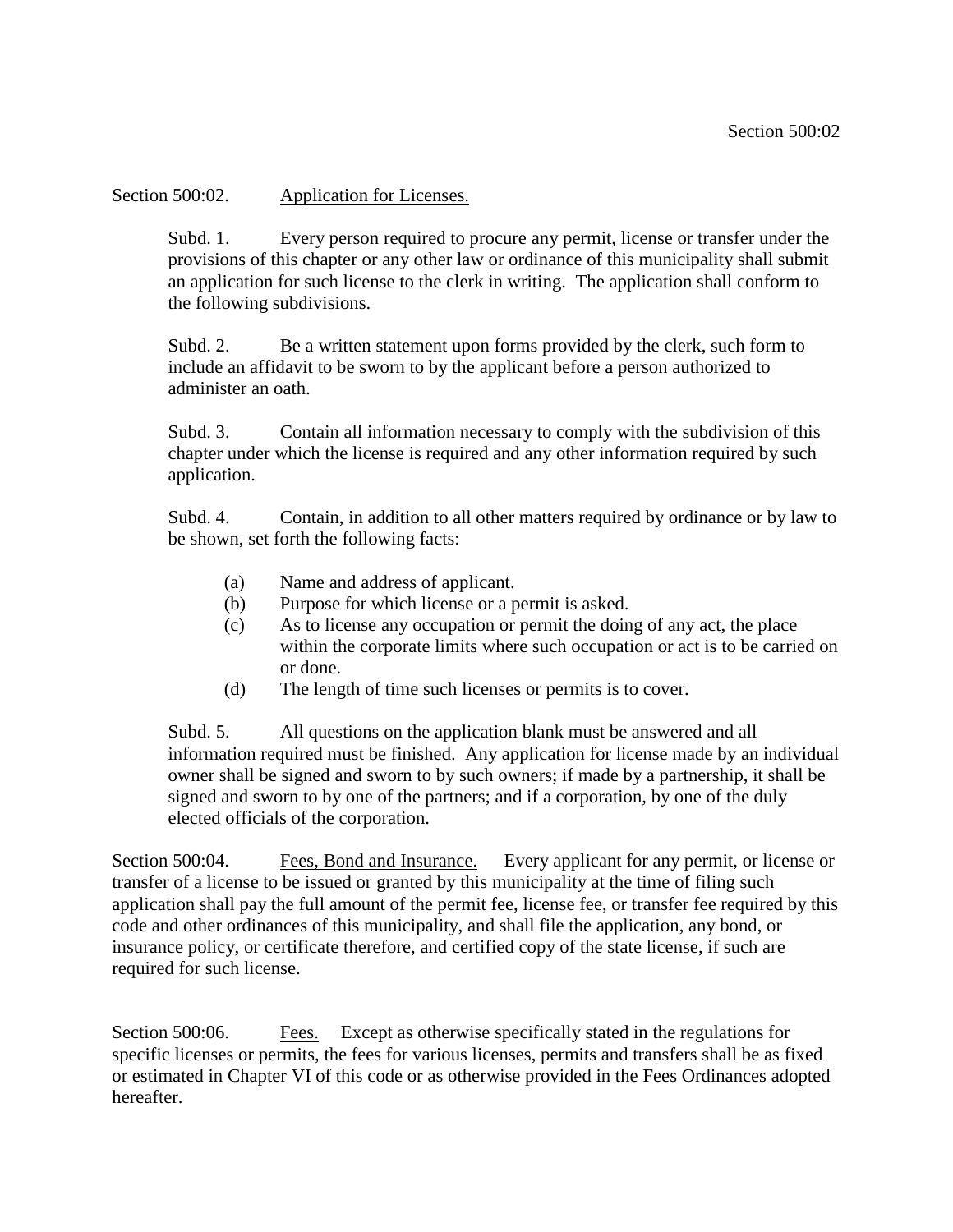Section 500:02. Application for Licenses.

Subd. 1. Every person required to procure any permit, license or transfer under the provisions of this chapter or any other law or ordinance of this municipality shall submit an application for such license to the clerk in writing. The application shall conform to the following subdivisions.

Subd. 2. Be a written statement upon forms provided by the clerk, such form to include an affidavit to be sworn to by the applicant before a person authorized to administer an oath.

Subd. 3. Contain all information necessary to comply with the subdivision of this chapter under which the license is required and any other information required by such application.

Subd. 4. Contain, in addition to all other matters required by ordinance or by law to be shown, set forth the following facts:

- (a) Name and address of applicant.
- (b) Purpose for which license or a permit is asked.
- (c) As to license any occupation or permit the doing of any act, the place within the corporate limits where such occupation or act is to be carried on or done.
- (d) The length of time such licenses or permits is to cover.

Subd. 5. All questions on the application blank must be answered and all information required must be finished. Any application for license made by an individual owner shall be signed and sworn to by such owners; if made by a partnership, it shall be signed and sworn to by one of the partners; and if a corporation, by one of the duly elected officials of the corporation.

Section 500:04. Fees, Bond and Insurance. Every applicant for any permit, or license or transfer of a license to be issued or granted by this municipality at the time of filing such application shall pay the full amount of the permit fee, license fee, or transfer fee required by this code and other ordinances of this municipality, and shall file the application, any bond, or insurance policy, or certificate therefore, and certified copy of the state license, if such are required for such license.

Section 500:06. Fees. Except as otherwise specifically stated in the regulations for specific licenses or permits, the fees for various licenses, permits and transfers shall be as fixed or estimated in Chapter VI of this code or as otherwise provided in the Fees Ordinances adopted hereafter.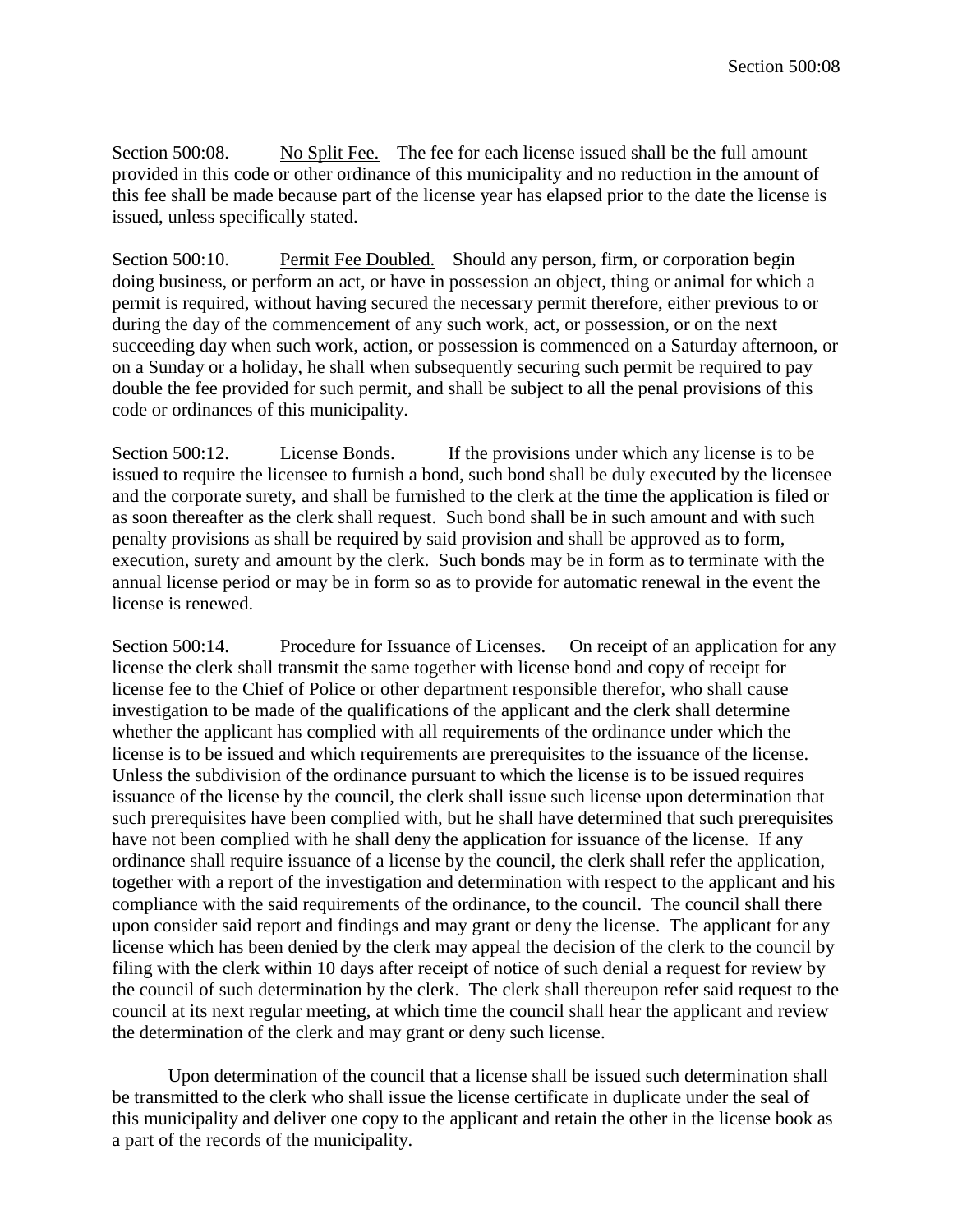Section 500:08. No Split Fee. The fee for each license issued shall be the full amount provided in this code or other ordinance of this municipality and no reduction in the amount of this fee shall be made because part of the license year has elapsed prior to the date the license is issued, unless specifically stated.

Section 500:10. Permit Fee Doubled. Should any person, firm, or corporation begin doing business, or perform an act, or have in possession an object, thing or animal for which a permit is required, without having secured the necessary permit therefore, either previous to or during the day of the commencement of any such work, act, or possession, or on the next succeeding day when such work, action, or possession is commenced on a Saturday afternoon, or on a Sunday or a holiday, he shall when subsequently securing such permit be required to pay double the fee provided for such permit, and shall be subject to all the penal provisions of this code or ordinances of this municipality.

Section 500:12. License Bonds. If the provisions under which any license is to be issued to require the licensee to furnish a bond, such bond shall be duly executed by the licensee and the corporate surety, and shall be furnished to the clerk at the time the application is filed or as soon thereafter as the clerk shall request. Such bond shall be in such amount and with such penalty provisions as shall be required by said provision and shall be approved as to form, execution, surety and amount by the clerk. Such bonds may be in form as to terminate with the annual license period or may be in form so as to provide for automatic renewal in the event the license is renewed.

Section 500:14. Procedure for Issuance of Licenses. On receipt of an application for any license the clerk shall transmit the same together with license bond and copy of receipt for license fee to the Chief of Police or other department responsible therefor, who shall cause investigation to be made of the qualifications of the applicant and the clerk shall determine whether the applicant has complied with all requirements of the ordinance under which the license is to be issued and which requirements are prerequisites to the issuance of the license. Unless the subdivision of the ordinance pursuant to which the license is to be issued requires issuance of the license by the council, the clerk shall issue such license upon determination that such prerequisites have been complied with, but he shall have determined that such prerequisites have not been complied with he shall deny the application for issuance of the license. If any ordinance shall require issuance of a license by the council, the clerk shall refer the application, together with a report of the investigation and determination with respect to the applicant and his compliance with the said requirements of the ordinance, to the council. The council shall there upon consider said report and findings and may grant or deny the license. The applicant for any license which has been denied by the clerk may appeal the decision of the clerk to the council by filing with the clerk within 10 days after receipt of notice of such denial a request for review by the council of such determination by the clerk. The clerk shall thereupon refer said request to the council at its next regular meeting, at which time the council shall hear the applicant and review the determination of the clerk and may grant or deny such license.

Upon determination of the council that a license shall be issued such determination shall be transmitted to the clerk who shall issue the license certificate in duplicate under the seal of this municipality and deliver one copy to the applicant and retain the other in the license book as a part of the records of the municipality.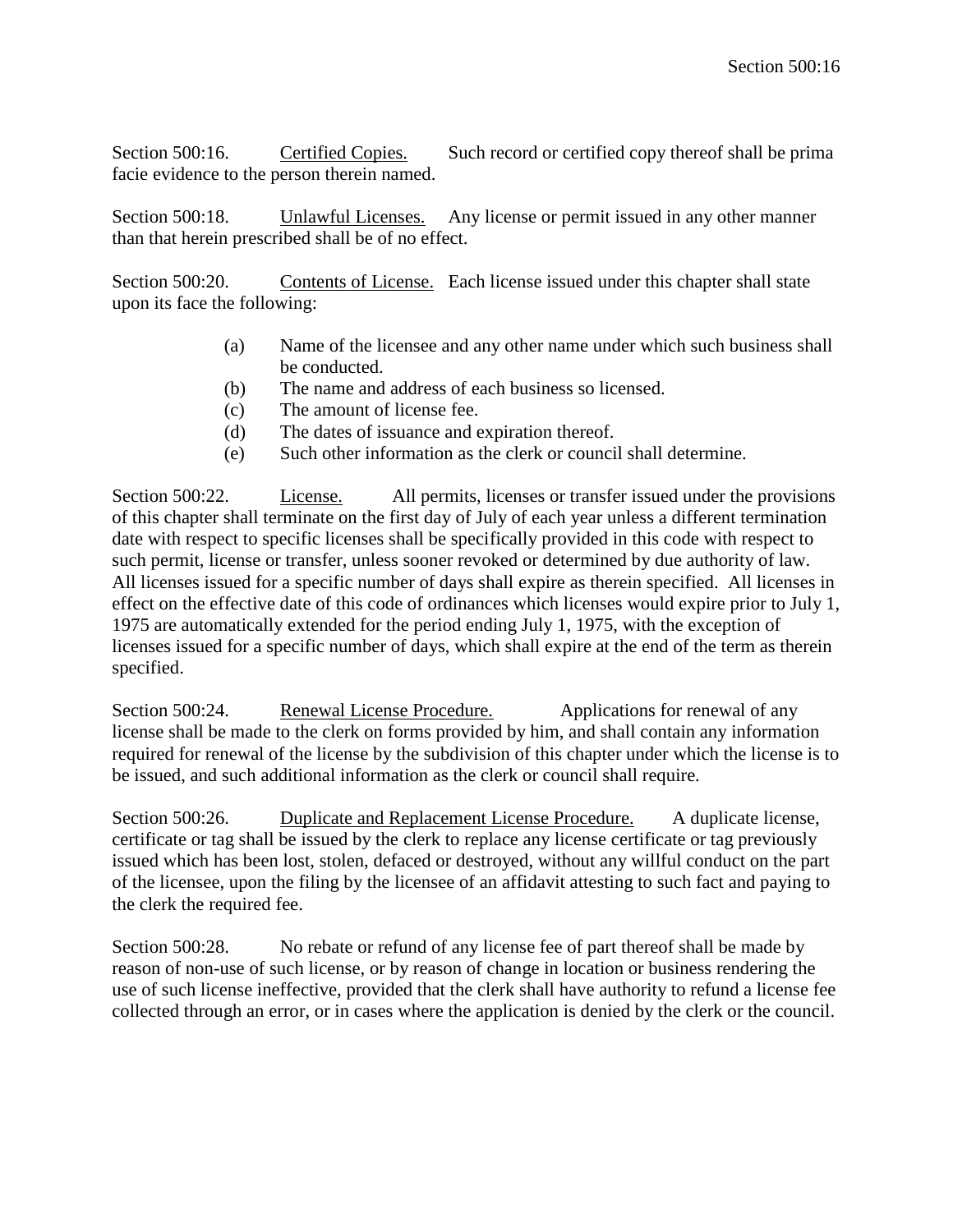Section 500:16. Certified Copies. Such record or certified copy thereof shall be prima facie evidence to the person therein named.

Section 500:18. Unlawful Licenses. Any license or permit issued in any other manner than that herein prescribed shall be of no effect.

Section 500:20. Contents of License. Each license issued under this chapter shall state upon its face the following:

- (a) Name of the licensee and any other name under which such business shall be conducted.
- (b) The name and address of each business so licensed.
- (c) The amount of license fee.
- (d) The dates of issuance and expiration thereof.
- (e) Such other information as the clerk or council shall determine.

Section 500:22. License. All permits, licenses or transfer issued under the provisions of this chapter shall terminate on the first day of July of each year unless a different termination date with respect to specific licenses shall be specifically provided in this code with respect to such permit, license or transfer, unless sooner revoked or determined by due authority of law. All licenses issued for a specific number of days shall expire as therein specified. All licenses in effect on the effective date of this code of ordinances which licenses would expire prior to July 1, 1975 are automatically extended for the period ending July 1, 1975, with the exception of licenses issued for a specific number of days, which shall expire at the end of the term as therein specified.

Section 500:24. Renewal License Procedure. Applications for renewal of any license shall be made to the clerk on forms provided by him, and shall contain any information required for renewal of the license by the subdivision of this chapter under which the license is to be issued, and such additional information as the clerk or council shall require.

Section 500:26. Duplicate and Replacement License Procedure. A duplicate license, certificate or tag shall be issued by the clerk to replace any license certificate or tag previously issued which has been lost, stolen, defaced or destroyed, without any willful conduct on the part of the licensee, upon the filing by the licensee of an affidavit attesting to such fact and paying to the clerk the required fee.

Section 500:28. No rebate or refund of any license fee of part thereof shall be made by reason of non-use of such license, or by reason of change in location or business rendering the use of such license ineffective, provided that the clerk shall have authority to refund a license fee collected through an error, or in cases where the application is denied by the clerk or the council.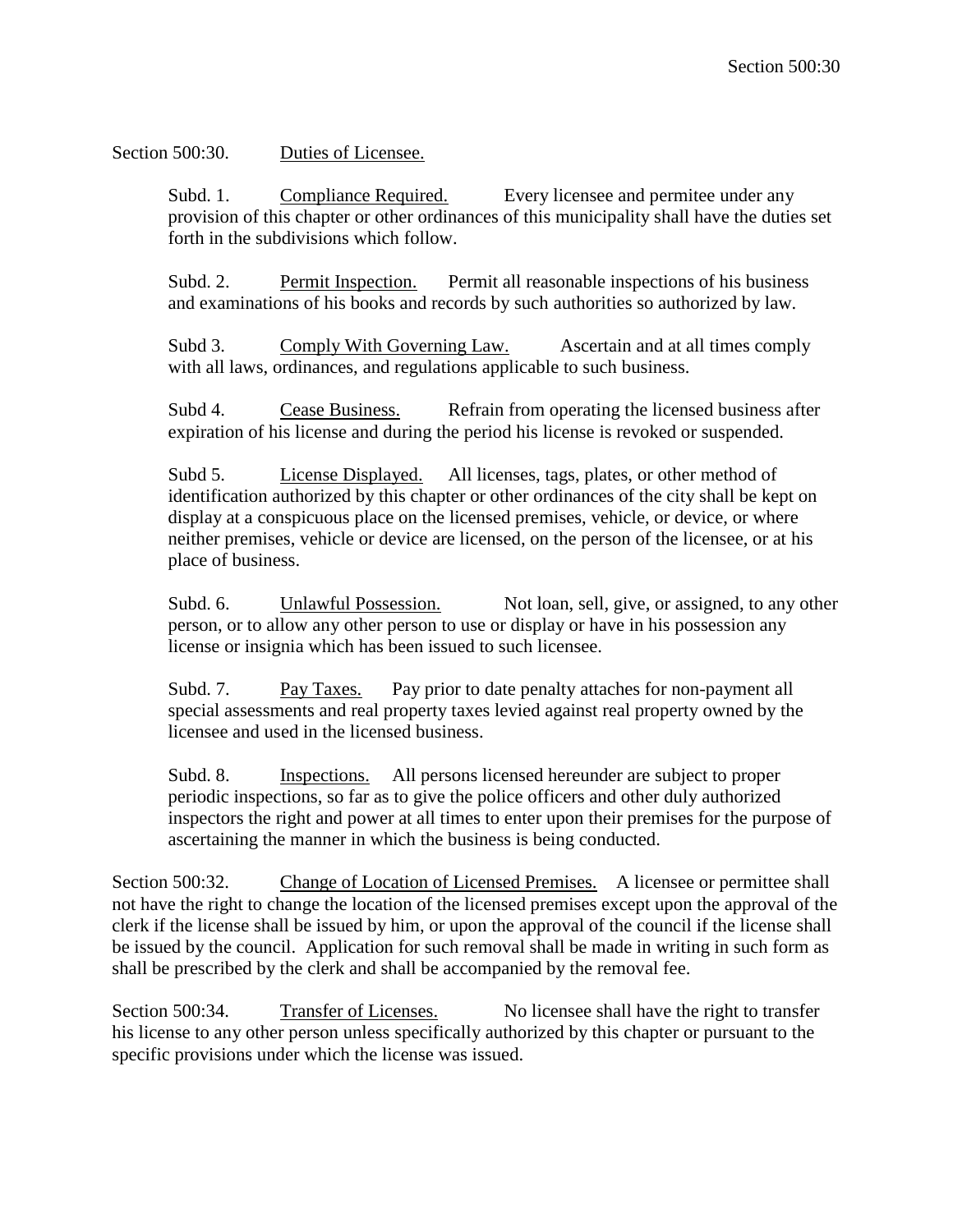Section 500:30. Duties of Licensee.

Subd. 1. Compliance Required. Every licensee and permitee under any provision of this chapter or other ordinances of this municipality shall have the duties set forth in the subdivisions which follow.

Subd. 2. Permit Inspection. Permit all reasonable inspections of his business and examinations of his books and records by such authorities so authorized by law.

Subd 3. Comply With Governing Law. Ascertain and at all times comply with all laws, ordinances, and regulations applicable to such business.

Subd 4. Cease Business. Refrain from operating the licensed business after expiration of his license and during the period his license is revoked or suspended.

Subd 5. License Displayed. All licenses, tags, plates, or other method of identification authorized by this chapter or other ordinances of the city shall be kept on display at a conspicuous place on the licensed premises, vehicle, or device, or where neither premises, vehicle or device are licensed, on the person of the licensee, or at his place of business.

Subd. 6. Unlawful Possession. Not loan, sell, give, or assigned, to any other person, or to allow any other person to use or display or have in his possession any license or insignia which has been issued to such licensee.

Subd. 7. Pay Taxes. Pay prior to date penalty attaches for non-payment all special assessments and real property taxes levied against real property owned by the licensee and used in the licensed business.

Subd. 8. Inspections. All persons licensed hereunder are subject to proper periodic inspections, so far as to give the police officers and other duly authorized inspectors the right and power at all times to enter upon their premises for the purpose of ascertaining the manner in which the business is being conducted.

Section 500:32. Change of Location of Licensed Premises. A licensee or permittee shall not have the right to change the location of the licensed premises except upon the approval of the clerk if the license shall be issued by him, or upon the approval of the council if the license shall be issued by the council. Application for such removal shall be made in writing in such form as shall be prescribed by the clerk and shall be accompanied by the removal fee.

Section 500:34. Transfer of Licenses. No licensee shall have the right to transfer his license to any other person unless specifically authorized by this chapter or pursuant to the specific provisions under which the license was issued.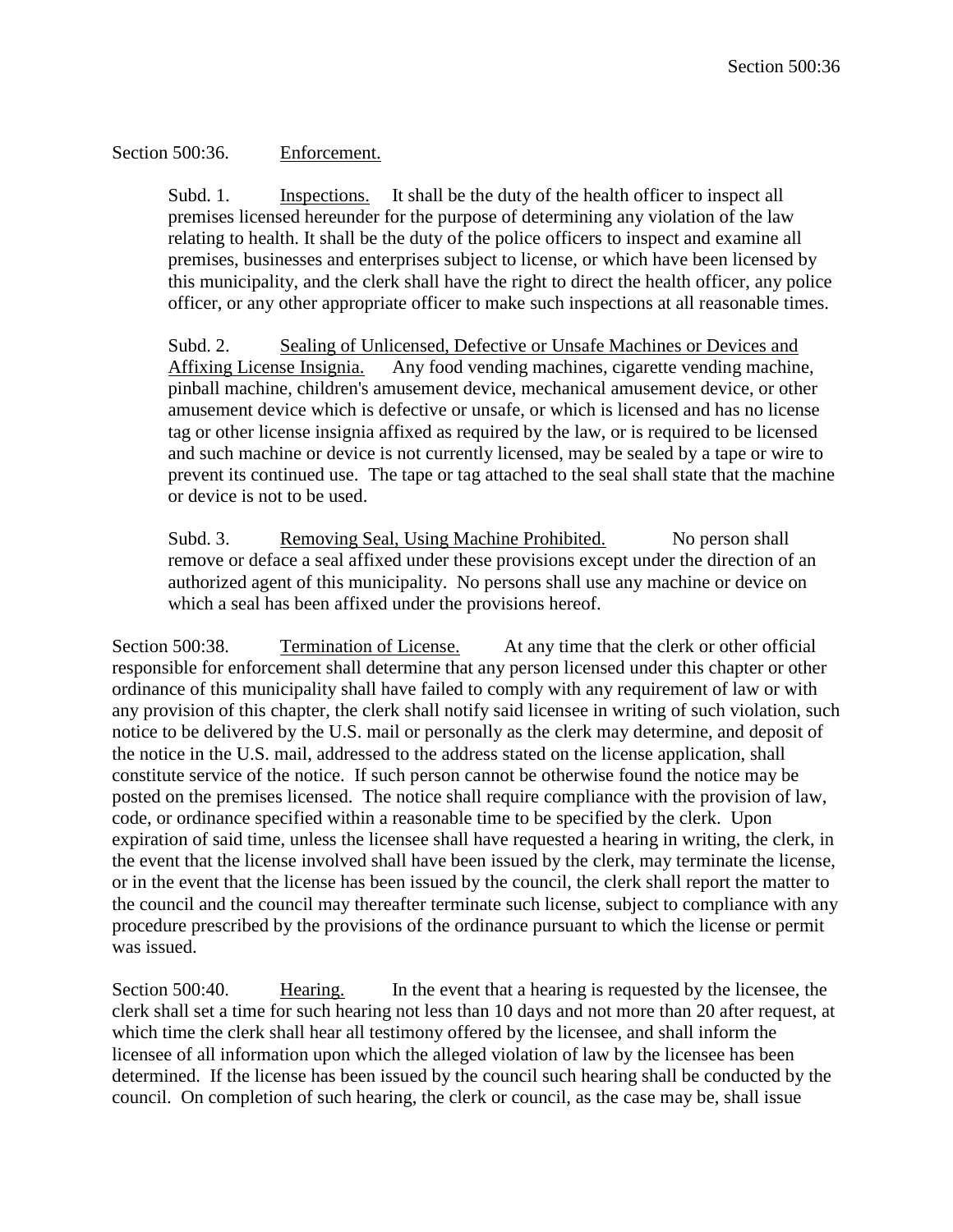## Section 500:36. Enforcement.

Subd. 1. Inspections. It shall be the duty of the health officer to inspect all premises licensed hereunder for the purpose of determining any violation of the law relating to health. It shall be the duty of the police officers to inspect and examine all premises, businesses and enterprises subject to license, or which have been licensed by this municipality, and the clerk shall have the right to direct the health officer, any police officer, or any other appropriate officer to make such inspections at all reasonable times.

Subd. 2. Sealing of Unlicensed, Defective or Unsafe Machines or Devices and Affixing License Insignia. Any food vending machines, cigarette vending machine, pinball machine, children's amusement device, mechanical amusement device, or other amusement device which is defective or unsafe, or which is licensed and has no license tag or other license insignia affixed as required by the law, or is required to be licensed and such machine or device is not currently licensed, may be sealed by a tape or wire to prevent its continued use. The tape or tag attached to the seal shall state that the machine or device is not to be used.

Subd. 3. Removing Seal, Using Machine Prohibited. No person shall remove or deface a seal affixed under these provisions except under the direction of an authorized agent of this municipality. No persons shall use any machine or device on which a seal has been affixed under the provisions hereof.

Section 500:38. Termination of License. At any time that the clerk or other official responsible for enforcement shall determine that any person licensed under this chapter or other ordinance of this municipality shall have failed to comply with any requirement of law or with any provision of this chapter, the clerk shall notify said licensee in writing of such violation, such notice to be delivered by the U.S. mail or personally as the clerk may determine, and deposit of the notice in the U.S. mail, addressed to the address stated on the license application, shall constitute service of the notice. If such person cannot be otherwise found the notice may be posted on the premises licensed. The notice shall require compliance with the provision of law, code, or ordinance specified within a reasonable time to be specified by the clerk. Upon expiration of said time, unless the licensee shall have requested a hearing in writing, the clerk, in the event that the license involved shall have been issued by the clerk, may terminate the license, or in the event that the license has been issued by the council, the clerk shall report the matter to the council and the council may thereafter terminate such license, subject to compliance with any procedure prescribed by the provisions of the ordinance pursuant to which the license or permit was issued.

Section 500:40. Hearing. In the event that a hearing is requested by the licensee, the clerk shall set a time for such hearing not less than 10 days and not more than 20 after request, at which time the clerk shall hear all testimony offered by the licensee, and shall inform the licensee of all information upon which the alleged violation of law by the licensee has been determined. If the license has been issued by the council such hearing shall be conducted by the council. On completion of such hearing, the clerk or council, as the case may be, shall issue